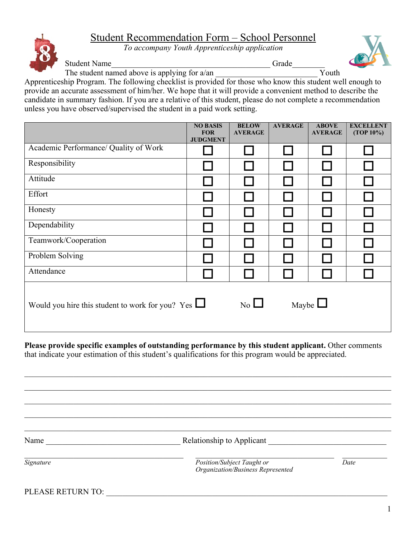## Student Recommendation Form – School Personnel

*To accompany Youth Apprenticeship application*



Student Name\_\_\_\_\_\_\_\_\_\_\_\_\_\_\_\_\_\_\_\_\_\_\_\_\_\_\_\_\_\_\_\_\_\_\_\_\_\_\_ Grade\_\_\_\_\_\_\_\_



The student named above is applying for  $a/an$   $\overline{Y}$  outh

Apprenticeship Program. The following checklist is provided for those who know this student well enough to provide an accurate assessment of him/her. We hope that it will provide a convenient method to describe the candidate in summary fashion. If you are a relative of this student, please do not complete a recommendation unless you have observed/supervised the student in a paid work setting.

|                                                                                             | <b>NO BASIS</b><br><b>FOR</b><br><b>JUDGMENT</b> | <b>BELOW</b><br><b>AVERAGE</b> | <b>AVERAGE</b> | <b>ABOVE</b><br><b>AVERAGE</b> | <b>EXCELLENT</b><br>(TOP 10%) |
|---------------------------------------------------------------------------------------------|--------------------------------------------------|--------------------------------|----------------|--------------------------------|-------------------------------|
| Academic Performance/ Quality of Work                                                       |                                                  |                                |                |                                |                               |
| Responsibility                                                                              |                                                  |                                |                |                                |                               |
| Attitude                                                                                    |                                                  |                                |                |                                |                               |
| Effort                                                                                      |                                                  |                                |                |                                |                               |
| Honesty                                                                                     |                                                  |                                |                |                                |                               |
| Dependability                                                                               |                                                  |                                |                |                                |                               |
| Teamwork/Cooperation                                                                        |                                                  |                                |                |                                |                               |
| Problem Solving                                                                             |                                                  |                                |                |                                |                               |
| Attendance                                                                                  |                                                  |                                |                |                                |                               |
| Maybe $\Box$<br>$\overline{N_0}$<br>Would you hire this student to work for you? Yes $\Box$ |                                                  |                                |                |                                |                               |

**Please provide specific examples of outstanding performance by this student applicant.** Other comments that indicate your estimation of this student's qualifications for this program would be appreciated.

Name Relationship to Applicant

*Signature Position/Subject Taught or Date Organization/Business Represented*

PLEASE RETURN TO: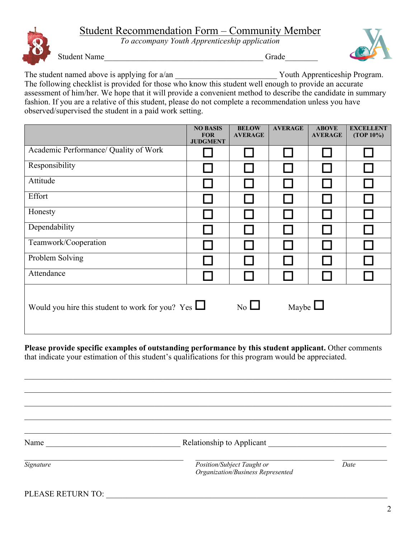## Student Recommendation Form – Community Member

*To accompany Youth Apprenticeship application*



Student Name\_\_\_\_\_\_\_\_\_\_\_\_\_\_\_\_\_\_\_\_\_\_\_\_\_\_\_\_\_\_\_\_\_\_\_\_\_\_\_ Grade\_\_\_\_\_\_\_\_

The student named above is applying for a/an <br>
Youth Apprenticeship Program.

The following checklist is provided for those who know this student well enough to provide an accurate assessment of him/her. We hope that it will provide a convenient method to describe the candidate in summary fashion. If you are a relative of this student, please do not complete a recommendation unless you have observed/supervised the student in a paid work setting.

|                                                                                                      | <b>NO BASIS</b><br><b>FOR</b><br><b>JUDGMENT</b> | <b>BELOW</b><br><b>AVERAGE</b> | <b>AVERAGE</b> | <b>ABOVE</b><br><b>AVERAGE</b> | <b>EXCELLENT</b><br>$(TOP 10\%)$ |
|------------------------------------------------------------------------------------------------------|--------------------------------------------------|--------------------------------|----------------|--------------------------------|----------------------------------|
| Academic Performance/ Quality of Work                                                                |                                                  |                                |                |                                |                                  |
| Responsibility                                                                                       |                                                  |                                |                |                                |                                  |
| Attitude                                                                                             |                                                  |                                |                |                                |                                  |
| Effort                                                                                               |                                                  |                                |                |                                |                                  |
| Honesty                                                                                              |                                                  |                                |                |                                |                                  |
| Dependability                                                                                        |                                                  |                                |                |                                |                                  |
| Teamwork/Cooperation                                                                                 |                                                  |                                |                |                                |                                  |
| Problem Solving                                                                                      |                                                  |                                |                |                                |                                  |
| Attendance                                                                                           |                                                  |                                |                |                                |                                  |
| Maybe $\Box$<br>$\overline{N_{0}}$ $\Box$<br>Would you hire this student to work for you? Yes $\Box$ |                                                  |                                |                |                                |                                  |

**Please provide specific examples of outstanding performance by this student applicant.** Other comments that indicate your estimation of this student's qualifications for this program would be appreciated.

 $\mathcal{L}_\mathcal{L} = \mathcal{L}_\mathcal{L} = \mathcal{L}_\mathcal{L} = \mathcal{L}_\mathcal{L} = \mathcal{L}_\mathcal{L} = \mathcal{L}_\mathcal{L} = \mathcal{L}_\mathcal{L} = \mathcal{L}_\mathcal{L} = \mathcal{L}_\mathcal{L} = \mathcal{L}_\mathcal{L} = \mathcal{L}_\mathcal{L} = \mathcal{L}_\mathcal{L} = \mathcal{L}_\mathcal{L} = \mathcal{L}_\mathcal{L} = \mathcal{L}_\mathcal{L} = \mathcal{L}_\mathcal{L} = \mathcal{L}_\mathcal{L}$ 

 $\_$  , and the state of the state of the state of the state of the state of the state of the state of the state of the state of the state of the state of the state of the state of the state of the state of the state of the

Name **Name** Relationship to Applicant **Name Relationship to Applicant Name** 

*Signature Position/Subject Taught or Date Organization/Business Represented*

PLEASE RETURN TO: